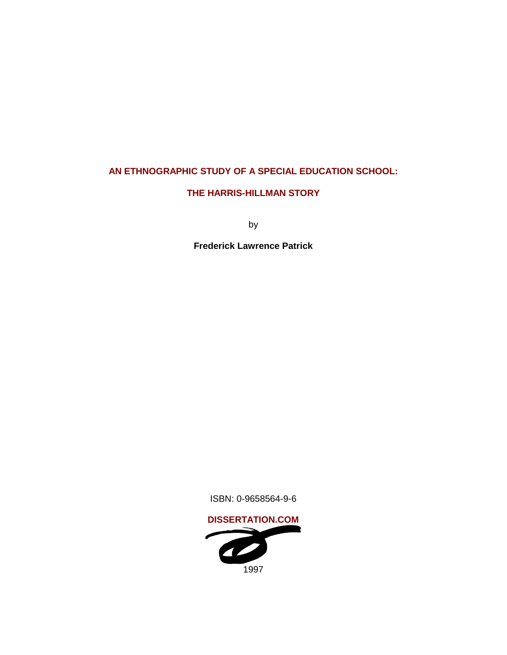# **AN ETHNOGRAPHIC STUDY OF A SPECIAL EDUCATION SCHOOL:**

# **THE HARRIS-HILLMAN STORY**

by

**Frederick Lawrence Patrick**

ISBN: 0-9658564-9-6

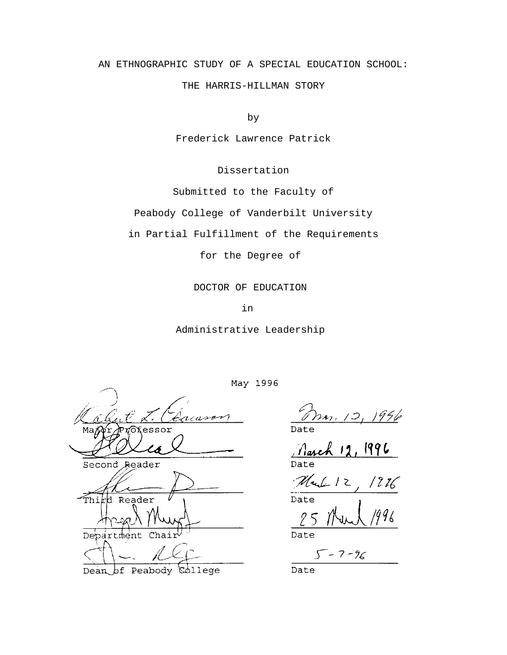# AN ETHNOGRAPHIC STUDY OF A SPECIAL EDUCATION SCHOOL:

THE HARRIS-HILLMAN STORY

by

Frederick Lawrence Patrick

Dissertation

Submitted to the Faculty of

Peabody College of Vanderbilt University

in Partial Fulfillment of the Requirements

for the Degree of

DOCTOR OF EDUCATION

in

Administrative Leadership

Second Reader - Thi Reade: Department Chair

*g*pJJede Dean of Peabody

May 1996

12, 1996

Date

Date  $25$ 

Date

 $5 - 7 - 96$ 

Date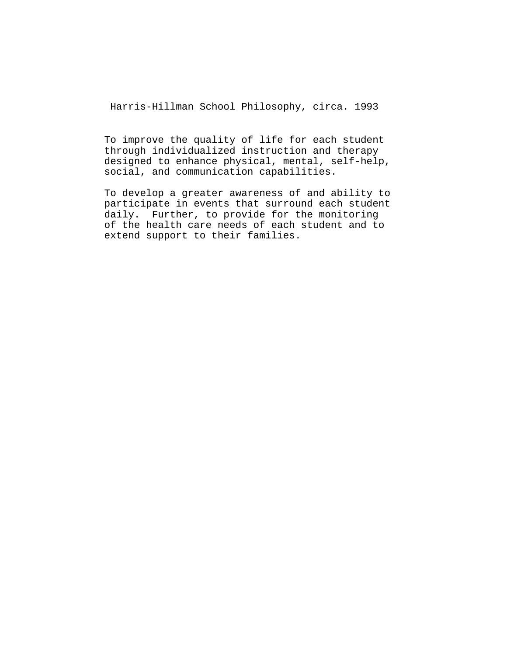Harris-Hillman School Philosophy, circa. 1993

To improve the quality of life for each student through individualized instruction and therapy designed to enhance physical, mental, self-help, social, and communication capabilities.

To develop a greater awareness of and ability to participate in events that surround each student daily. Further, to provide for the monitoring of the health care needs of each student and to extend support to their families.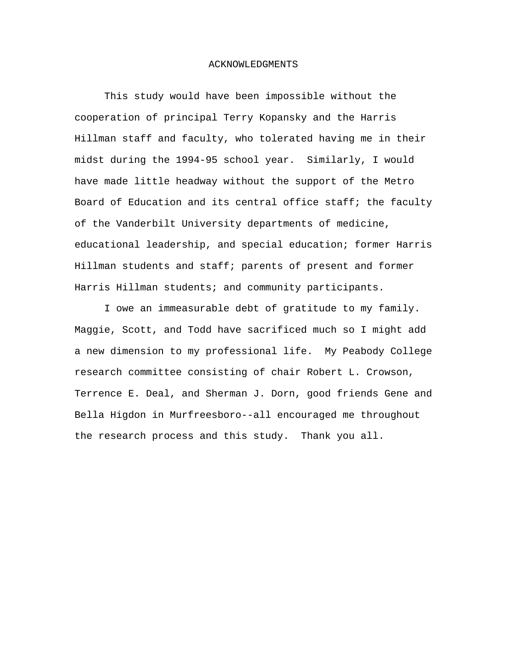#### ACKNOWLEDGMENTS

This study would have been impossible without the cooperation of principal Terry Kopansky and the Harris Hillman staff and faculty, who tolerated having me in their midst during the 1994-95 school year. Similarly, I would have made little headway without the support of the Metro Board of Education and its central office staff; the faculty of the Vanderbilt University departments of medicine, educational leadership, and special education; former Harris Hillman students and staff; parents of present and former Harris Hillman students; and community participants.

I owe an immeasurable debt of gratitude to my family. Maggie, Scott, and Todd have sacrificed much so I might add a new dimension to my professional life. My Peabody College research committee consisting of chair Robert L. Crowson, Terrence E. Deal, and Sherman J. Dorn, good friends Gene and Bella Higdon in Murfreesboro--all encouraged me throughout the research process and this study. Thank you all.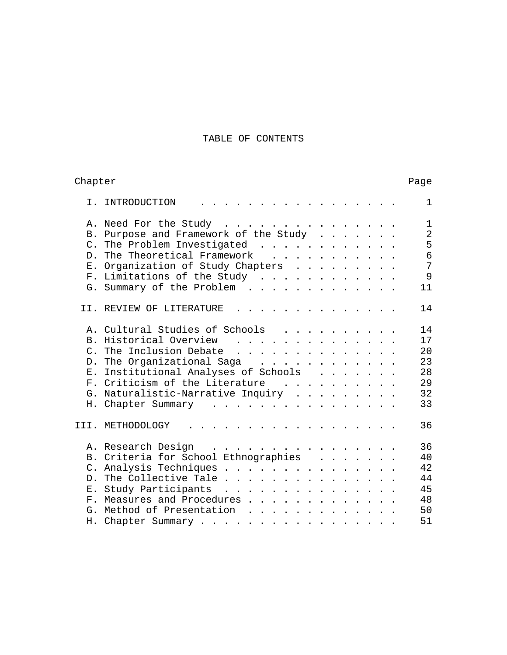# TABLE OF CONTENTS

| Chapter         | Page                                                                                      |                |
|-----------------|-------------------------------------------------------------------------------------------|----------------|
|                 | I. INTRODUCTION                                                                           | $\mathbf{1}$   |
|                 | A. Need For the Study                                                                     | $\mathbf{1}$   |
| В.              | Purpose and Framework of the Study                                                        | $\overline{2}$ |
| $\mathcal{C}$ . | The Problem Investigated                                                                  | 5              |
| D <sub>1</sub>  | The Theoretical Framework                                                                 | 6              |
|                 | E. Organization of Study Chapters                                                         | 7              |
|                 | F. Limitations of the Study                                                               | 9              |
|                 | G. Summary of the Problem<br>11                                                           |                |
|                 | II. REVIEW OF LITERATURE<br>14                                                            |                |
|                 | A. Cultural Studies of Schools<br>14                                                      |                |
|                 | B. Historical Overview<br>17                                                              |                |
| $C_{\infty}$    | The Inclusion Debate<br>20                                                                |                |
|                 | 23<br>D. The Organizational Saga                                                          |                |
|                 | E. Institutional Analyses of Schools<br>28                                                |                |
|                 | F. Criticism of the Literature<br>29                                                      |                |
|                 | 32<br>G. Naturalistic-Narrative Inquiry                                                   |                |
|                 | 33<br>H. Chapter Summary                                                                  |                |
|                 | 36<br>III. METHODOLOGY<br>$\cdot$ $\cdot$ $\cdot$ $\cdot$ $\cdot$ $\cdot$ $\cdot$ $\cdot$ |                |
|                 | 36<br>A. Research Design                                                                  |                |
|                 | B. Criteria for School Ethnographies<br>40                                                |                |
| $\mathsf{C}$ .  | Analysis Techniques<br>42                                                                 |                |
|                 | D. The Collective Tale<br>44                                                              |                |
|                 | E. Study Participants<br>45                                                               |                |
|                 | 48<br>F. Measures and Procedures                                                          |                |
| G <sub>1</sub>  | Method of Presentation<br>50                                                              |                |
|                 | 51<br>H. Chapter Summary                                                                  |                |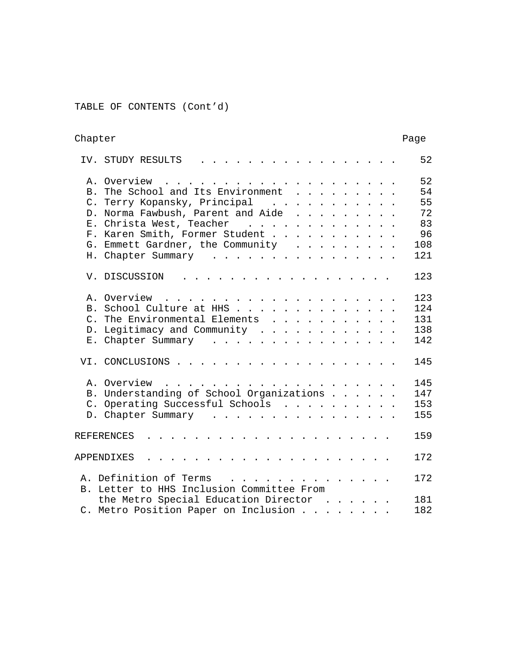TABLE OF CONTENTS (Cont'd)

| Chapter        |                                                                                                                                                                                                                                                                                                                                                                                                                                                                           |     |
|----------------|---------------------------------------------------------------------------------------------------------------------------------------------------------------------------------------------------------------------------------------------------------------------------------------------------------------------------------------------------------------------------------------------------------------------------------------------------------------------------|-----|
|                | IV. STUDY RESULTS                                                                                                                                                                                                                                                                                                                                                                                                                                                         | 52  |
|                |                                                                                                                                                                                                                                                                                                                                                                                                                                                                           | 52  |
| B <sub>1</sub> | The School and Its Environment                                                                                                                                                                                                                                                                                                                                                                                                                                            | 54  |
|                | C. Terry Kopansky, Principal                                                                                                                                                                                                                                                                                                                                                                                                                                              | 55  |
| $D$ .          | Norma Fawbush, Parent and Aide                                                                                                                                                                                                                                                                                                                                                                                                                                            | 72  |
|                | E. Christa West, Teacher                                                                                                                                                                                                                                                                                                                                                                                                                                                  | 83  |
|                | F. Karen Smith, Former Student                                                                                                                                                                                                                                                                                                                                                                                                                                            | 96  |
|                | G. Emmett Gardner, the Community                                                                                                                                                                                                                                                                                                                                                                                                                                          | 108 |
|                | H. Chapter Summary                                                                                                                                                                                                                                                                                                                                                                                                                                                        | 121 |
|                | V. DISCUSSION                                                                                                                                                                                                                                                                                                                                                                                                                                                             | 123 |
|                | A. Overview<br>$\mathbf{1} \qquad \mathbf{1} \qquad \mathbf{1} \qquad \mathbf{1} \qquad \mathbf{1} \qquad \mathbf{1} \qquad \mathbf{1} \qquad \mathbf{1} \qquad \mathbf{1} \qquad \mathbf{1} \qquad \mathbf{1} \qquad \mathbf{1} \qquad \mathbf{1} \qquad \mathbf{1} \qquad \mathbf{1} \qquad \mathbf{1} \qquad \mathbf{1} \qquad \mathbf{1} \qquad \mathbf{1} \qquad \mathbf{1} \qquad \mathbf{1} \qquad \mathbf{1} \qquad \mathbf{1} \qquad \mathbf{1} \qquad \mathbf{$ | 123 |
|                | B. School Culture at HHS                                                                                                                                                                                                                                                                                                                                                                                                                                                  | 124 |
|                | C. The Environmental Elements                                                                                                                                                                                                                                                                                                                                                                                                                                             | 131 |
| $D$ .          | Legitimacy and Community                                                                                                                                                                                                                                                                                                                                                                                                                                                  | 138 |
|                | E. Chapter Summary                                                                                                                                                                                                                                                                                                                                                                                                                                                        | 142 |
|                | VI. CONCLUSIONS .                                                                                                                                                                                                                                                                                                                                                                                                                                                         | 145 |
|                | A. Overview<br>and the company of the company of the company of the company of the company of the company of the company of the company of the company of the company of the company of the company of the company of the company of the comp                                                                                                                                                                                                                             | 145 |
|                | B. Understanding of School Organizations                                                                                                                                                                                                                                                                                                                                                                                                                                  | 147 |
|                | C. Operating Successful Schools                                                                                                                                                                                                                                                                                                                                                                                                                                           | 153 |
|                | D. Chapter Summary                                                                                                                                                                                                                                                                                                                                                                                                                                                        | 155 |
|                | REFERENCES<br>the contract of the contract of the contract of the contract of the contract of the contract of the contract of the contract of the contract of the contract of the contract of the contract of the contract of the contract o                                                                                                                                                                                                                              | 159 |
|                | APPENDIXES                                                                                                                                                                                                                                                                                                                                                                                                                                                                | 172 |
|                | A. Definition of Terms                                                                                                                                                                                                                                                                                                                                                                                                                                                    | 172 |
|                | B. Letter to HHS Inclusion Committee From                                                                                                                                                                                                                                                                                                                                                                                                                                 |     |
|                | the Metro Special Education Director                                                                                                                                                                                                                                                                                                                                                                                                                                      | 181 |
|                | C. Metro Position Paper on Inclusion<br>$\mathbf{1}^{\prime}$ , $\mathbf{1}^{\prime}$ , $\mathbf{1}^{\prime}$ , $\mathbf{1}^{\prime}$                                                                                                                                                                                                                                                                                                                                     | 182 |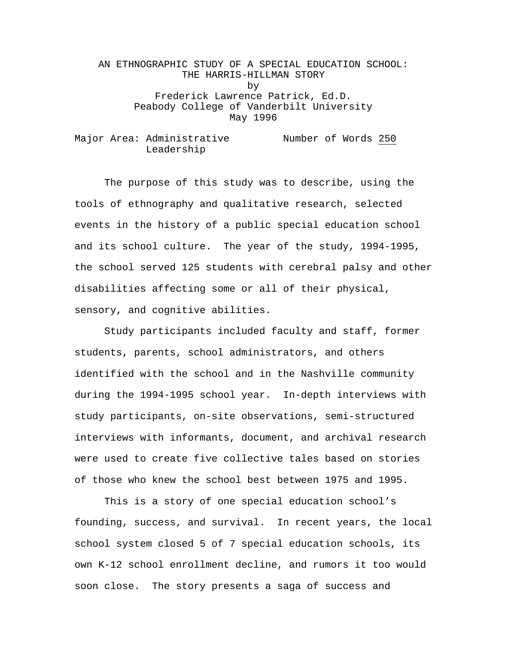# AN ETHNOGRAPHIC STUDY OF A SPECIAL EDUCATION SCHOOL: THE HARRIS-HILLMAN STORY by Frederick Lawrence Patrick, Ed.D. Peabody College of Vanderbilt University May 1996

Major Area: Administrative Mumber of Words 250 Leadership

The purpose of this study was to describe, using the tools of ethnography and qualitative research, selected events in the history of a public special education school and its school culture. The year of the study, 1994-1995, the school served 125 students with cerebral palsy and other disabilities affecting some or all of their physical, sensory, and cognitive abilities.

Study participants included faculty and staff, former students, parents, school administrators, and others identified with the school and in the Nashville community during the 1994-1995 school year. In-depth interviews with study participants, on-site observations, semi-structured interviews with informants, document, and archival research were used to create five collective tales based on stories of those who knew the school best between 1975 and 1995.

This is a story of one special education school's founding, success, and survival. In recent years, the local school system closed 5 of 7 special education schools, its own K-12 school enrollment decline, and rumors it too would soon close. The story presents a saga of success and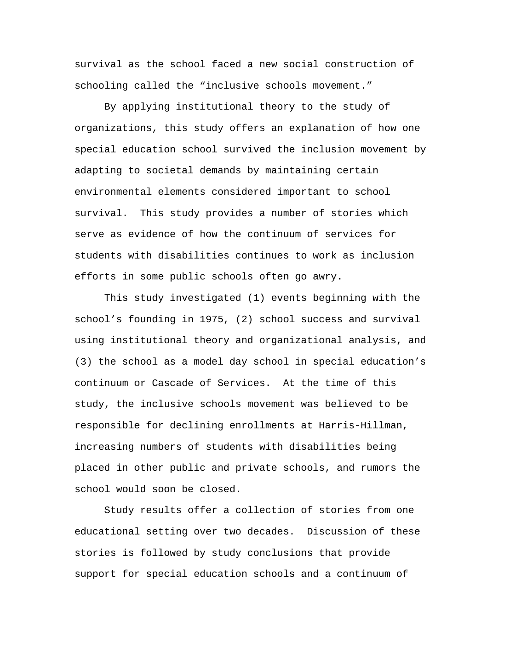survival as the school faced a new social construction of schooling called the "inclusive schools movement."

By applying institutional theory to the study of organizations, this study offers an explanation of how one special education school survived the inclusion movement by adapting to societal demands by maintaining certain environmental elements considered important to school survival. This study provides a number of stories which serve as evidence of how the continuum of services for students with disabilities continues to work as inclusion efforts in some public schools often go awry.

This study investigated (1) events beginning with the school's founding in 1975, (2) school success and survival using institutional theory and organizational analysis, and (3) the school as a model day school in special education's continuum or Cascade of Services. At the time of this study, the inclusive schools movement was believed to be responsible for declining enrollments at Harris-Hillman, increasing numbers of students with disabilities being placed in other public and private schools, and rumors the school would soon be closed.

Study results offer a collection of stories from one educational setting over two decades. Discussion of these stories is followed by study conclusions that provide support for special education schools and a continuum of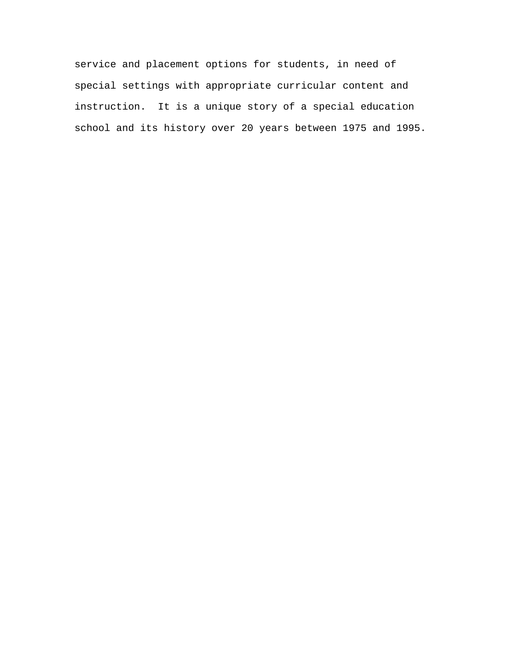service and placement options for students, in need of special settings with appropriate curricular content and instruction. It is a unique story of a special education school and its history over 20 years between 1975 and 1995.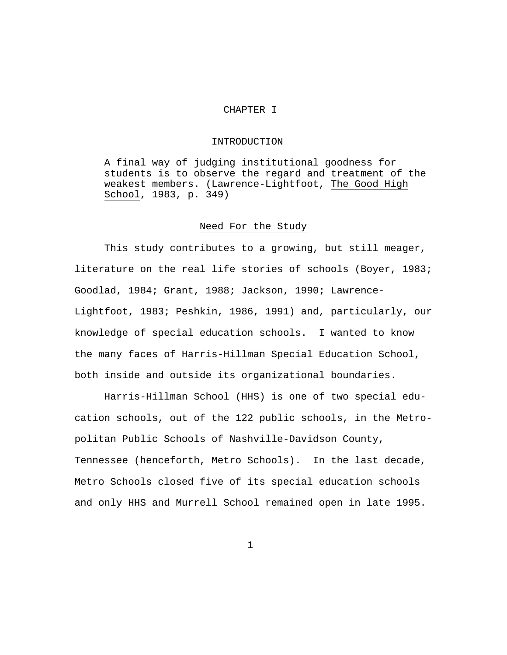# CHAPTER I

## INTRODUCTION

A final way of judging institutional goodness for students is to observe the regard and treatment of the weakest members. (Lawrence-Lightfoot, The Good High School, 1983, p. 349)

# Need For the Study

This study contributes to a growing, but still meager, literature on the real life stories of schools (Boyer, 1983; Goodlad, 1984; Grant, 1988; Jackson, 1990; Lawrence-Lightfoot, 1983; Peshkin, 1986, 1991) and, particularly, our knowledge of special education schools. I wanted to know the many faces of Harris-Hillman Special Education School, both inside and outside its organizational boundaries.

Harris-Hillman School (HHS) is one of two special education schools, out of the 122 public schools, in the Metropolitan Public Schools of Nashville-Davidson County, Tennessee (henceforth, Metro Schools). In the last decade, Metro Schools closed five of its special education schools and only HHS and Murrell School remained open in late 1995.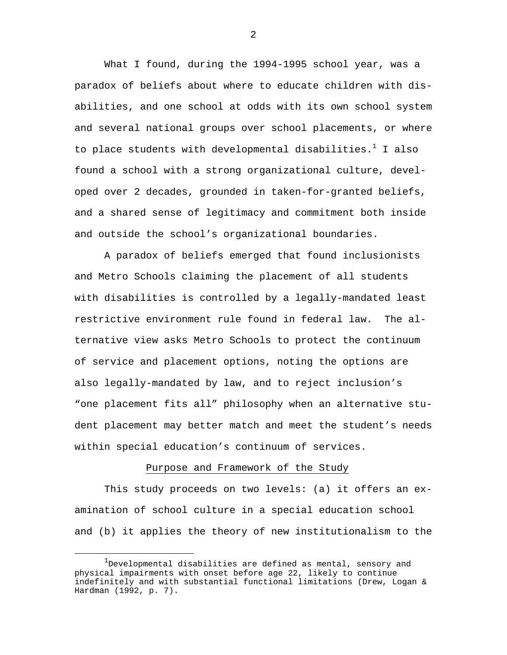What I found, during the 1994-1995 school year, was a paradox of beliefs about where to educate children with disabilities, and one school at odds with its own school system and several national groups over school placements, or where to place students with developmental disabilities. $^{\rm 1}$  I also found a school with a strong organizational culture, developed over 2 decades, grounded in taken-for-granted beliefs, and a shared sense of legitimacy and commitment both inside and outside the school's organizational boundaries.

A paradox of beliefs emerged that found inclusionists and Metro Schools claiming the placement of all students with disabilities is controlled by a legally-mandated least restrictive environment rule found in federal law. The alternative view asks Metro Schools to protect the continuum of service and placement options, noting the options are also legally-mandated by law, and to reject inclusion's "one placement fits all" philosophy when an alternative student placement may better match and meet the student's needs within special education's continuum of services.

# Purpose and Framework of the Study

This study proceeds on two levels: (a) it offers an examination of school culture in a special education school and (b) it applies the theory of new institutionalism to the

 <sup>1</sup>  $1$ Developmental disabilities are defined as mental, sensory and physical impairments with onset before age 22, likely to continue indefinitely and with substantial functional limitations (Drew, Logan & Hardman (1992, p. 7).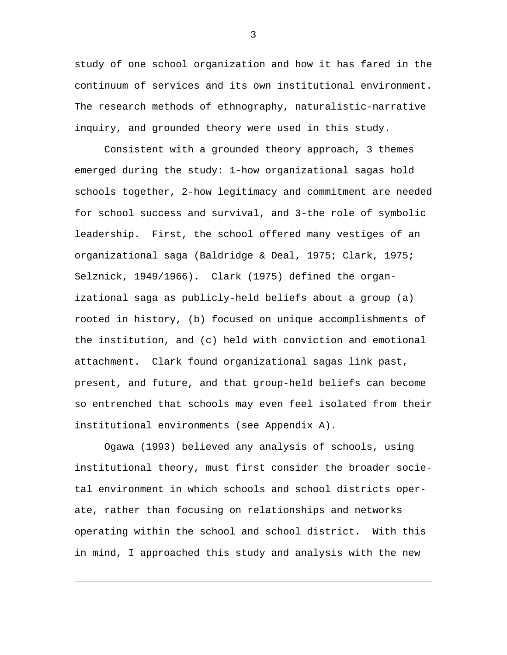study of one school organization and how it has fared in the continuum of services and its own institutional environment. The research methods of ethnography, naturalistic-narrative inquiry, and grounded theory were used in this study.

Consistent with a grounded theory approach, 3 themes emerged during the study: 1-how organizational sagas hold schools together, 2-how legitimacy and commitment are needed for school success and survival, and 3-the role of symbolic leadership. First, the school offered many vestiges of an organizational saga (Baldridge & Deal, 1975; Clark, 1975; Selznick, 1949/1966). Clark (1975) defined the organizational saga as publicly-held beliefs about a group (a) rooted in history, (b) focused on unique accomplishments of the institution, and (c) held with conviction and emotional attachment. Clark found organizational sagas link past, present, and future, and that group-held beliefs can become so entrenched that schools may even feel isolated from their institutional environments (see Appendix A).

Ogawa (1993) believed any analysis of schools, using institutional theory, must first consider the broader societal environment in which schools and school districts operate, rather than focusing on relationships and networks operating within the school and school district. With this in mind, I approached this study and analysis with the new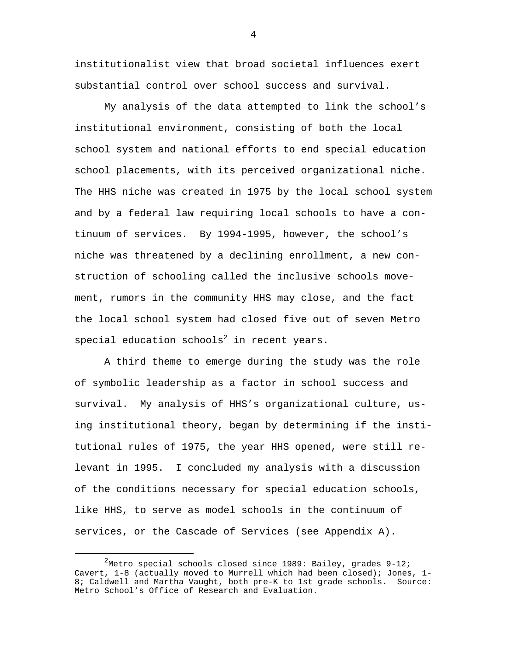institutionalist view that broad societal influences exert substantial control over school success and survival.

My analysis of the data attempted to link the school's institutional environment, consisting of both the local school system and national efforts to end special education school placements, with its perceived organizational niche. The HHS niche was created in 1975 by the local school system and by a federal law requiring local schools to have a continuum of services. By 1994-1995, however, the school's niche was threatened by a declining enrollment, a new construction of schooling called the inclusive schools movement, rumors in the community HHS may close, and the fact the local school system had closed five out of seven Metro special education schools $^2$  in recent years.

A third theme to emerge during the study was the role of symbolic leadership as a factor in school success and survival. My analysis of HHS's organizational culture, using institutional theory, began by determining if the institutional rules of 1975, the year HHS opened, were still relevant in 1995. I concluded my analysis with a discussion of the conditions necessary for special education schools, like HHS, to serve as model schools in the continuum of services, or the Cascade of Services (see Appendix A).

 $\overline{\phantom{a}}$  2  $^2$ Metro special schools closed since 1989: Bailey, grades 9-12; Cavert, 1-8 (actually moved to Murrell which had been closed); Jones, 1- 8; Caldwell and Martha Vaught, both pre-K to 1st grade schools. Source: Metro School's Office of Research and Evaluation.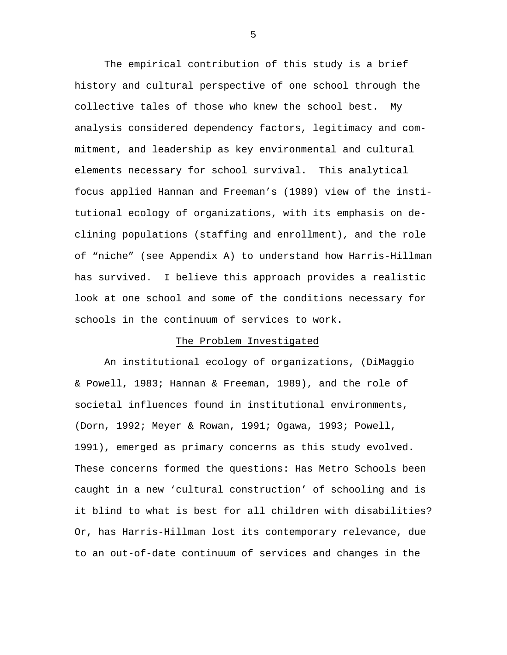The empirical contribution of this study is a brief history and cultural perspective of one school through the collective tales of those who knew the school best. My analysis considered dependency factors, legitimacy and commitment, and leadership as key environmental and cultural elements necessary for school survival. This analytical focus applied Hannan and Freeman's (1989) view of the institutional ecology of organizations, with its emphasis on declining populations (staffing and enrollment), and the role of "niche" (see Appendix A) to understand how Harris-Hillman has survived. I believe this approach provides a realistic look at one school and some of the conditions necessary for schools in the continuum of services to work.

## The Problem Investigated

An institutional ecology of organizations, (DiMaggio & Powell, 1983; Hannan & Freeman, 1989), and the role of societal influences found in institutional environments, (Dorn, 1992; Meyer & Rowan, 1991; Ogawa, 1993; Powell, 1991), emerged as primary concerns as this study evolved. These concerns formed the questions: Has Metro Schools been caught in a new 'cultural construction' of schooling and is it blind to what is best for all children with disabilities? Or, has Harris-Hillman lost its contemporary relevance, due to an out-of-date continuum of services and changes in the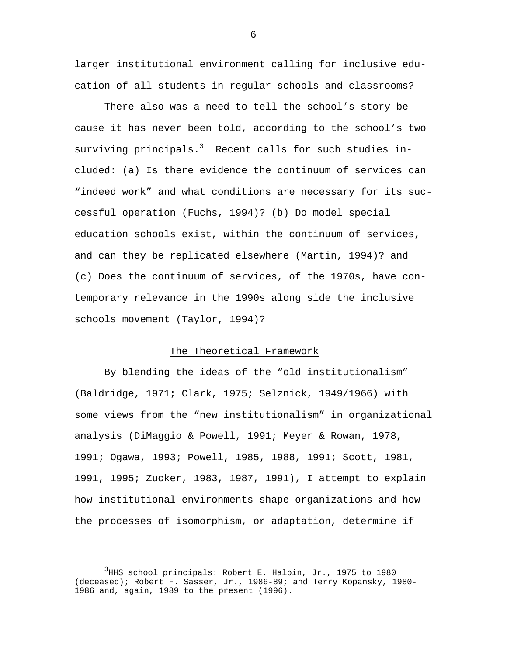larger institutional environment calling for inclusive education of all students in regular schools and classrooms?

There also was a need to tell the school's story because it has never been told, according to the school's two surviving principals. $^3$  Recent calls for such studies included: (a) Is there evidence the continuum of services can "indeed work" and what conditions are necessary for its successful operation (Fuchs, 1994)? (b) Do model special education schools exist, within the continuum of services, and can they be replicated elsewhere (Martin, 1994)? and (c) Does the continuum of services, of the 1970s, have contemporary relevance in the 1990s along side the inclusive schools movement (Taylor, 1994)?

#### The Theoretical Framework

By blending the ideas of the "old institutionalism" (Baldridge, 1971; Clark, 1975; Selznick, 1949/1966) with some views from the "new institutionalism" in organizational analysis (DiMaggio & Powell, 1991; Meyer & Rowan, 1978, 1991; Ogawa, 1993; Powell, 1985, 1988, 1991; Scott, 1981, 1991, 1995; Zucker, 1983, 1987, 1991), I attempt to explain how institutional environments shape organizations and how the processes of isomorphism, or adaptation, determine if

 $\overline{\phantom{a}}$  3  $3$ HHS school principals: Robert E. Halpin, Jr., 1975 to 1980 (deceased); Robert F. Sasser, Jr., 1986-89; and Terry Kopansky, 1980- 1986 and, again, 1989 to the present (1996).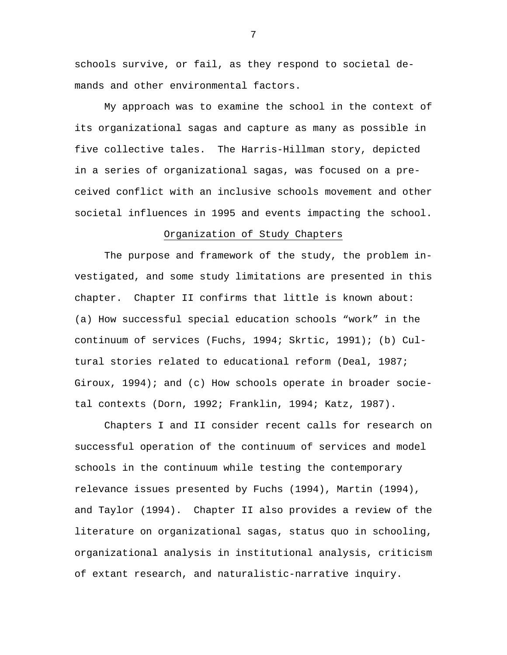schools survive, or fail, as they respond to societal demands and other environmental factors.

My approach was to examine the school in the context of its organizational sagas and capture as many as possible in five collective tales. The Harris-Hillman story, depicted in a series of organizational sagas, was focused on a preceived conflict with an inclusive schools movement and other societal influences in 1995 and events impacting the school.

# Organization of Study Chapters

The purpose and framework of the study, the problem investigated, and some study limitations are presented in this chapter. Chapter II confirms that little is known about: (a) How successful special education schools "work" in the continuum of services (Fuchs, 1994; Skrtic, 1991); (b) Cultural stories related to educational reform (Deal, 1987; Giroux, 1994); and (c) How schools operate in broader societal contexts (Dorn, 1992; Franklin, 1994; Katz, 1987).

Chapters I and II consider recent calls for research on successful operation of the continuum of services and model schools in the continuum while testing the contemporary relevance issues presented by Fuchs (1994), Martin (1994), and Taylor (1994). Chapter II also provides a review of the literature on organizational sagas, status quo in schooling, organizational analysis in institutional analysis, criticism of extant research, and naturalistic-narrative inquiry.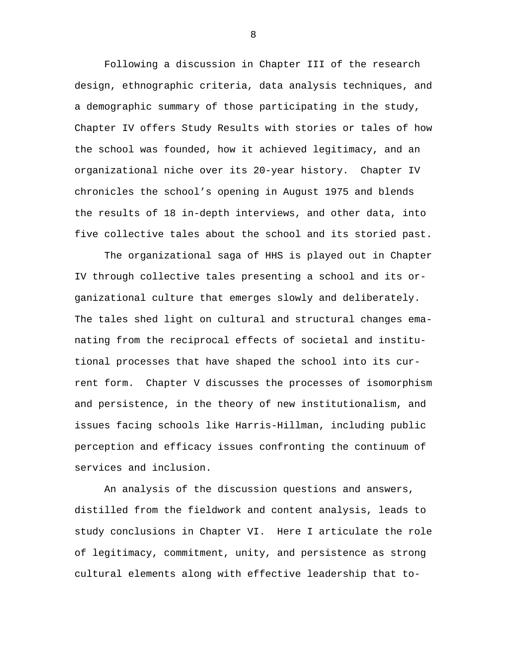Following a discussion in Chapter III of the research design, ethnographic criteria, data analysis techniques, and a demographic summary of those participating in the study, Chapter IV offers Study Results with stories or tales of how the school was founded, how it achieved legitimacy, and an organizational niche over its 20-year history. Chapter IV chronicles the school's opening in August 1975 and blends the results of 18 in-depth interviews, and other data, into five collective tales about the school and its storied past.

The organizational saga of HHS is played out in Chapter IV through collective tales presenting a school and its organizational culture that emerges slowly and deliberately. The tales shed light on cultural and structural changes emanating from the reciprocal effects of societal and institutional processes that have shaped the school into its current form. Chapter V discusses the processes of isomorphism and persistence, in the theory of new institutionalism, and issues facing schools like Harris-Hillman, including public perception and efficacy issues confronting the continuum of services and inclusion.

An analysis of the discussion questions and answers, distilled from the fieldwork and content analysis, leads to study conclusions in Chapter VI. Here I articulate the role of legitimacy, commitment, unity, and persistence as strong cultural elements along with effective leadership that to-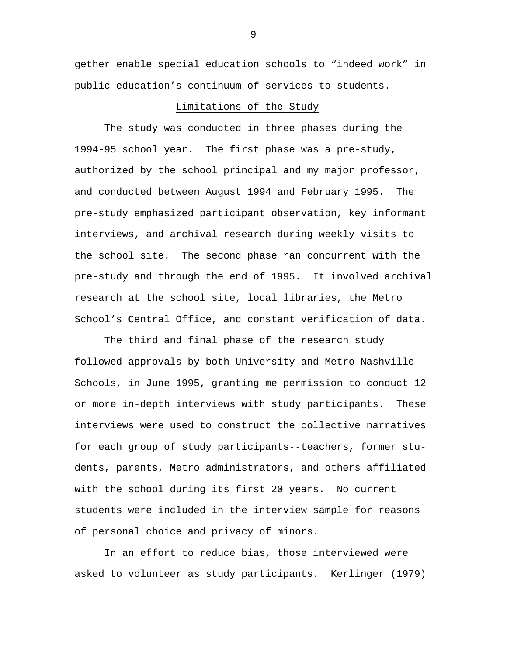gether enable special education schools to "indeed work" in public education's continuum of services to students.

# Limitations of the Study

The study was conducted in three phases during the 1994-95 school year. The first phase was a pre-study, authorized by the school principal and my major professor, and conducted between August 1994 and February 1995. The pre-study emphasized participant observation, key informant interviews, and archival research during weekly visits to the school site. The second phase ran concurrent with the pre-study and through the end of 1995. It involved archival research at the school site, local libraries, the Metro School's Central Office, and constant verification of data.

The third and final phase of the research study followed approvals by both University and Metro Nashville Schools, in June 1995, granting me permission to conduct 12 or more in-depth interviews with study participants. These interviews were used to construct the collective narratives for each group of study participants--teachers, former students, parents, Metro administrators, and others affiliated with the school during its first 20 years. No current students were included in the interview sample for reasons of personal choice and privacy of minors.

In an effort to reduce bias, those interviewed were asked to volunteer as study participants. Kerlinger (1979)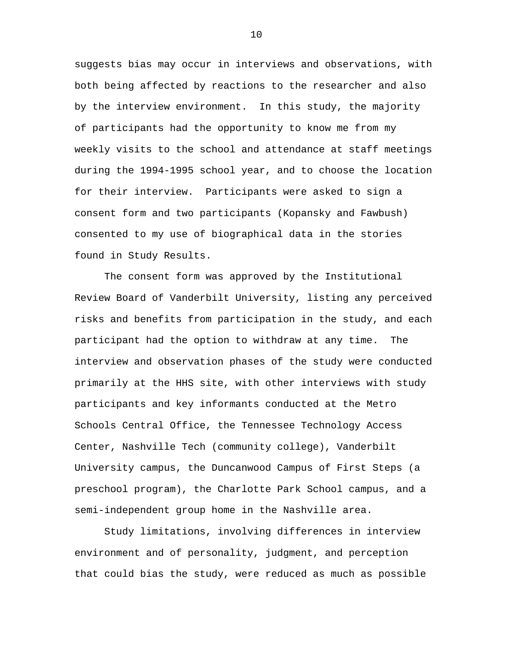suggests bias may occur in interviews and observations, with both being affected by reactions to the researcher and also by the interview environment. In this study, the majority of participants had the opportunity to know me from my weekly visits to the school and attendance at staff meetings during the 1994-1995 school year, and to choose the location for their interview. Participants were asked to sign a consent form and two participants (Kopansky and Fawbush) consented to my use of biographical data in the stories found in Study Results.

The consent form was approved by the Institutional Review Board of Vanderbilt University, listing any perceived risks and benefits from participation in the study, and each participant had the option to withdraw at any time. The interview and observation phases of the study were conducted primarily at the HHS site, with other interviews with study participants and key informants conducted at the Metro Schools Central Office, the Tennessee Technology Access Center, Nashville Tech (community college), Vanderbilt University campus, the Duncanwood Campus of First Steps (a preschool program), the Charlotte Park School campus, and a semi-independent group home in the Nashville area.

Study limitations, involving differences in interview environment and of personality, judgment, and perception that could bias the study, were reduced as much as possible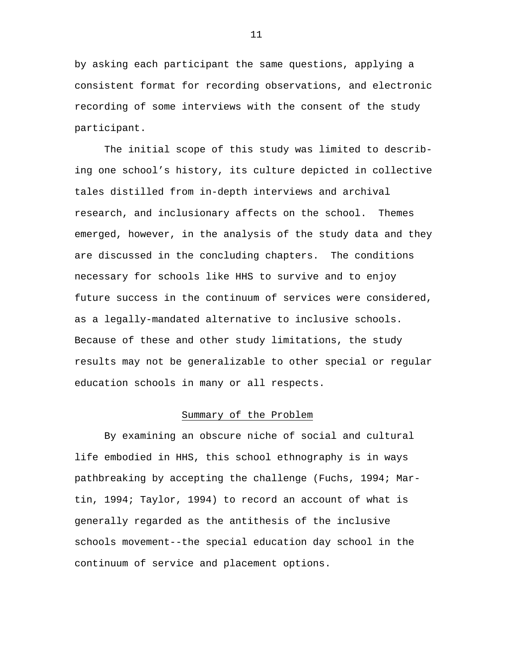by asking each participant the same questions, applying a consistent format for recording observations, and electronic recording of some interviews with the consent of the study participant.

The initial scope of this study was limited to describing one school's history, its culture depicted in collective tales distilled from in-depth interviews and archival research, and inclusionary affects on the school. Themes emerged, however, in the analysis of the study data and they are discussed in the concluding chapters. The conditions necessary for schools like HHS to survive and to enjoy future success in the continuum of services were considered, as a legally-mandated alternative to inclusive schools. Because of these and other study limitations, the study results may not be generalizable to other special or regular education schools in many or all respects.

# Summary of the Problem

By examining an obscure niche of social and cultural life embodied in HHS, this school ethnography is in ways pathbreaking by accepting the challenge (Fuchs, 1994; Martin, 1994; Taylor, 1994) to record an account of what is generally regarded as the antithesis of the inclusive schools movement--the special education day school in the continuum of service and placement options.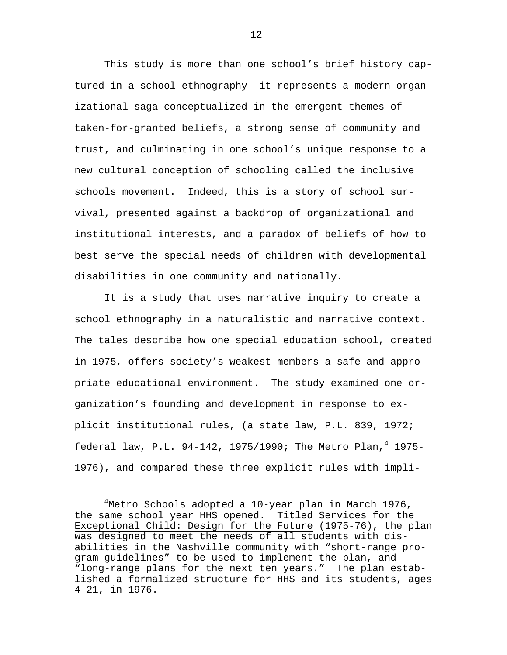This study is more than one school's brief history captured in a school ethnography--it represents a modern organizational saga conceptualized in the emergent themes of taken-for-granted beliefs, a strong sense of community and trust, and culminating in one school's unique response to a new cultural conception of schooling called the inclusive schools movement. Indeed, this is a story of school survival, presented against a backdrop of organizational and institutional interests, and a paradox of beliefs of how to best serve the special needs of children with developmental disabilities in one community and nationally.

It is a study that uses narrative inquiry to create a school ethnography in a naturalistic and narrative context. The tales describe how one special education school, created in 1975, offers society's weakest members a safe and appropriate educational environment. The study examined one organization's founding and development in response to explicit institutional rules, (a state law, P.L. 839, 1972; federal law, P.L. 94-142, 1975/1990; The Metro Plan, $^4$  1975-1976), and compared these three explicit rules with impli-

 $\overline{4}$ Metro Schools adopted a 10-year plan in March 1976, the same school year HHS opened. Titled Services for the Exceptional Child: Design for the Future (1975-76), the plan was designed to meet the needs of all students with disabilities in the Nashville community with "short-range program guidelines" to be used to implement the plan, and "long-range plans for the next ten years." The plan established a formalized structure for HHS and its students, ages 4-21, in 1976.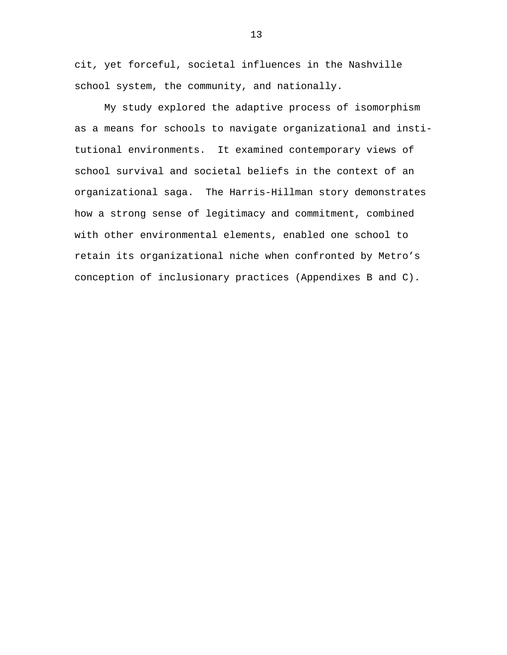cit, yet forceful, societal influences in the Nashville school system, the community, and nationally.

My study explored the adaptive process of isomorphism as a means for schools to navigate organizational and institutional environments. It examined contemporary views of school survival and societal beliefs in the context of an organizational saga. The Harris-Hillman story demonstrates how a strong sense of legitimacy and commitment, combined with other environmental elements, enabled one school to retain its organizational niche when confronted by Metro's conception of inclusionary practices (Appendixes B and C).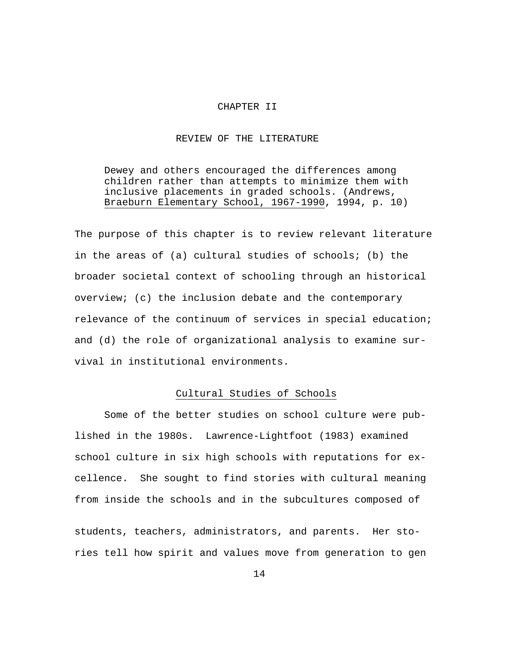#### CHAPTER II

#### REVIEW OF THE LITERATURE

Dewey and others encouraged the differences among children rather than attempts to minimize them with inclusive placements in graded schools. (Andrews, Braeburn Elementary School, 1967-1990, 1994, p. 10)

The purpose of this chapter is to review relevant literature in the areas of (a) cultural studies of schools; (b) the broader societal context of schooling through an historical overview; (c) the inclusion debate and the contemporary relevance of the continuum of services in special education; and (d) the role of organizational analysis to examine survival in institutional environments.

# Cultural Studies of Schools

Some of the better studies on school culture were published in the 1980s. Lawrence-Lightfoot (1983) examined school culture in six high schools with reputations for excellence. She sought to find stories with cultural meaning from inside the schools and in the subcultures composed of students, teachers, administrators, and parents. Her sto-

14

ries tell how spirit and values move from generation to gen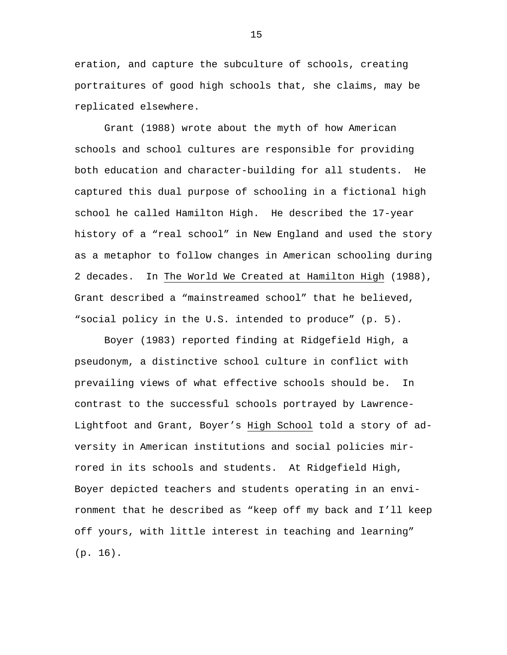eration, and capture the subculture of schools, creating portraitures of good high schools that, she claims, may be replicated elsewhere.

Grant (1988) wrote about the myth of how American schools and school cultures are responsible for providing both education and character-building for all students. He captured this dual purpose of schooling in a fictional high school he called Hamilton High. He described the 17-year history of a "real school" in New England and used the story as a metaphor to follow changes in American schooling during 2 decades. In The World We Created at Hamilton High (1988), Grant described a "mainstreamed school" that he believed, "social policy in the U.S. intended to produce" (p. 5).

Boyer (1983) reported finding at Ridgefield High, a pseudonym, a distinctive school culture in conflict with prevailing views of what effective schools should be. In contrast to the successful schools portrayed by Lawrence-Lightfoot and Grant, Boyer's High School told a story of adversity in American institutions and social policies mirrored in its schools and students. At Ridgefield High, Boyer depicted teachers and students operating in an environment that he described as "keep off my back and I'll keep off yours, with little interest in teaching and learning" (p. 16).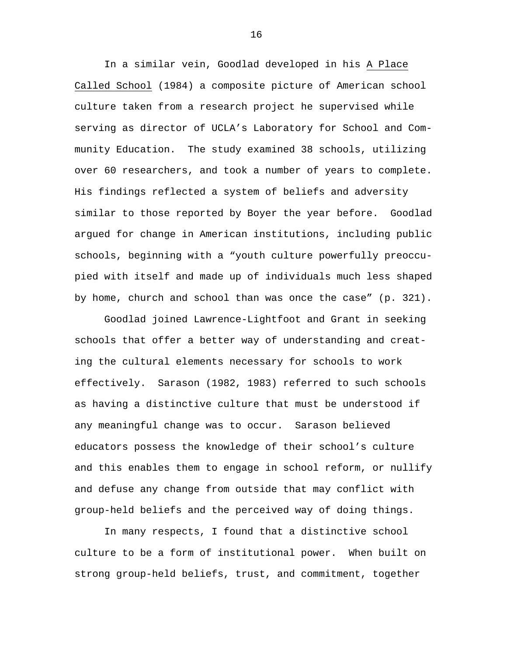In a similar vein, Goodlad developed in his A Place Called School (1984) a composite picture of American school culture taken from a research project he supervised while serving as director of UCLA's Laboratory for School and Community Education. The study examined 38 schools, utilizing over 60 researchers, and took a number of years to complete. His findings reflected a system of beliefs and adversity similar to those reported by Boyer the year before. Goodlad argued for change in American institutions, including public schools, beginning with a "youth culture powerfully preoccupied with itself and made up of individuals much less shaped by home, church and school than was once the case" (p. 321).

Goodlad joined Lawrence-Lightfoot and Grant in seeking schools that offer a better way of understanding and creating the cultural elements necessary for schools to work effectively. Sarason (1982, 1983) referred to such schools as having a distinctive culture that must be understood if any meaningful change was to occur. Sarason believed educators possess the knowledge of their school's culture and this enables them to engage in school reform, or nullify and defuse any change from outside that may conflict with group-held beliefs and the perceived way of doing things.

In many respects, I found that a distinctive school culture to be a form of institutional power. When built on strong group-held beliefs, trust, and commitment, together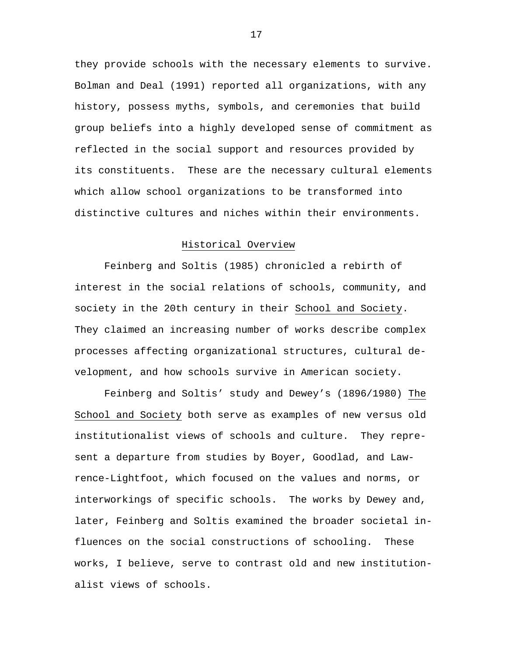they provide schools with the necessary elements to survive. Bolman and Deal (1991) reported all organizations, with any history, possess myths, symbols, and ceremonies that build group beliefs into a highly developed sense of commitment as reflected in the social support and resources provided by its constituents. These are the necessary cultural elements which allow school organizations to be transformed into distinctive cultures and niches within their environments.

# Historical Overview

Feinberg and Soltis (1985) chronicled a rebirth of interest in the social relations of schools, community, and society in the 20th century in their School and Society. They claimed an increasing number of works describe complex processes affecting organizational structures, cultural development, and how schools survive in American society.

Feinberg and Soltis' study and Dewey's (1896/1980) The School and Society both serve as examples of new versus old institutionalist views of schools and culture. They represent a departure from studies by Boyer, Goodlad, and Lawrence-Lightfoot, which focused on the values and norms, or interworkings of specific schools. The works by Dewey and, later, Feinberg and Soltis examined the broader societal influences on the social constructions of schooling. These works, I believe, serve to contrast old and new institutionalist views of schools.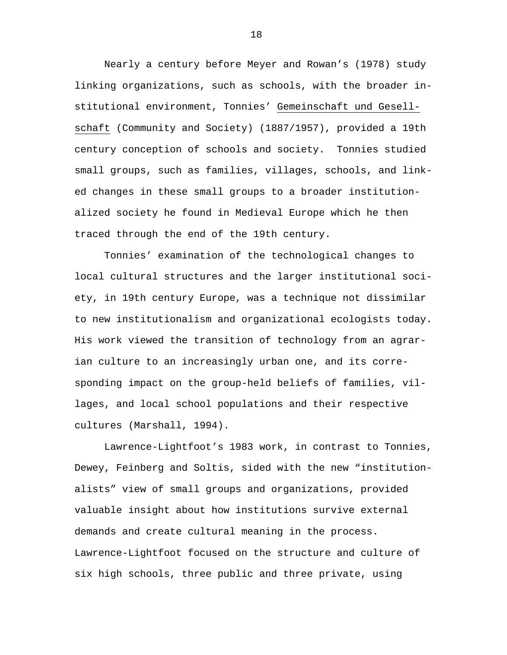Nearly a century before Meyer and Rowan's (1978) study linking organizations, such as schools, with the broader institutional environment, Tonnies' Gemeinschaft und Gesellschaft (Community and Society) (1887/1957), provided a 19th century conception of schools and society. Tonnies studied small groups, such as families, villages, schools, and linked changes in these small groups to a broader institutionalized society he found in Medieval Europe which he then traced through the end of the 19th century.

Tonnies' examination of the technological changes to local cultural structures and the larger institutional society, in 19th century Europe, was a technique not dissimilar to new institutionalism and organizational ecologists today. His work viewed the transition of technology from an agrarian culture to an increasingly urban one, and its corresponding impact on the group-held beliefs of families, villages, and local school populations and their respective cultures (Marshall, 1994).

Lawrence-Lightfoot's 1983 work, in contrast to Tonnies, Dewey, Feinberg and Soltis, sided with the new "institutionalists" view of small groups and organizations, provided valuable insight about how institutions survive external demands and create cultural meaning in the process. Lawrence-Lightfoot focused on the structure and culture of six high schools, three public and three private, using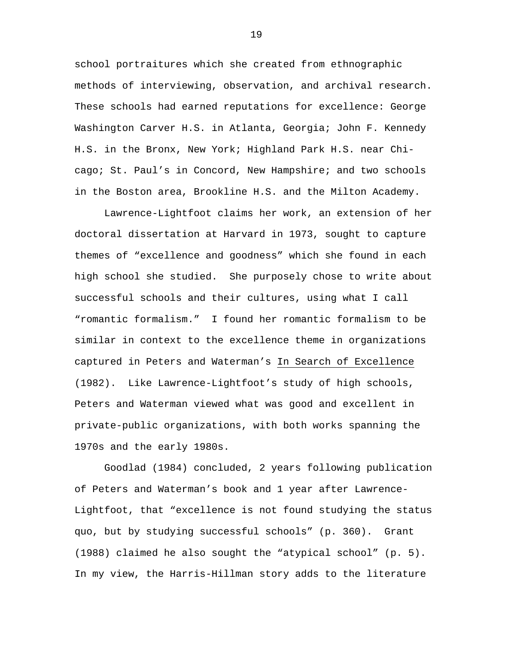school portraitures which she created from ethnographic methods of interviewing, observation, and archival research. These schools had earned reputations for excellence: George Washington Carver H.S. in Atlanta, Georgia; John F. Kennedy H.S. in the Bronx, New York; Highland Park H.S. near Chicago; St. Paul's in Concord, New Hampshire; and two schools in the Boston area, Brookline H.S. and the Milton Academy.

Lawrence-Lightfoot claims her work, an extension of her doctoral dissertation at Harvard in 1973, sought to capture themes of "excellence and goodness" which she found in each high school she studied. She purposely chose to write about successful schools and their cultures, using what I call "romantic formalism." I found her romantic formalism to be similar in context to the excellence theme in organizations captured in Peters and Waterman's In Search of Excellence (1982). Like Lawrence-Lightfoot's study of high schools, Peters and Waterman viewed what was good and excellent in private-public organizations, with both works spanning the 1970s and the early 1980s.

Goodlad (1984) concluded, 2 years following publication of Peters and Waterman's book and 1 year after Lawrence-Lightfoot, that "excellence is not found studying the status quo, but by studying successful schools" (p. 360). Grant (1988) claimed he also sought the "atypical school" (p. 5). In my view, the Harris-Hillman story adds to the literature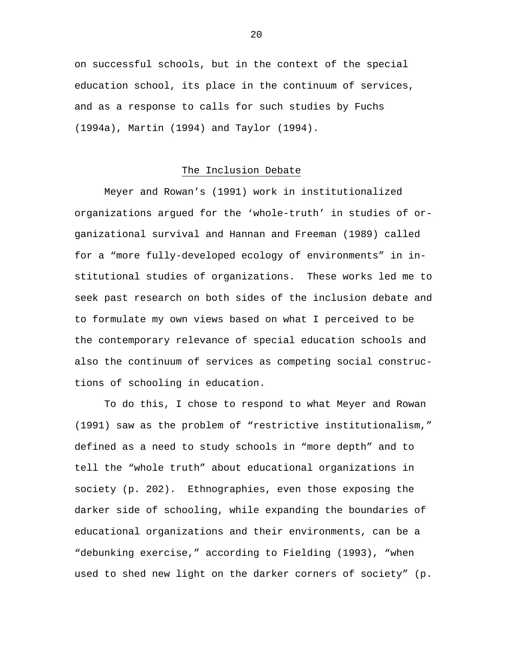on successful schools, but in the context of the special education school, its place in the continuum of services, and as a response to calls for such studies by Fuchs (1994a), Martin (1994) and Taylor (1994).

#### The Inclusion Debate

Meyer and Rowan's (1991) work in institutionalized organizations argued for the 'whole-truth' in studies of organizational survival and Hannan and Freeman (1989) called for a "more fully-developed ecology of environments" in institutional studies of organizations. These works led me to seek past research on both sides of the inclusion debate and to formulate my own views based on what I perceived to be the contemporary relevance of special education schools and also the continuum of services as competing social constructions of schooling in education.

To do this, I chose to respond to what Meyer and Rowan (1991) saw as the problem of "restrictive institutionalism," defined as a need to study schools in "more depth" and to tell the "whole truth" about educational organizations in society (p. 202). Ethnographies, even those exposing the darker side of schooling, while expanding the boundaries of educational organizations and their environments, can be a "debunking exercise," according to Fielding (1993), "when used to shed new light on the darker corners of society" (p.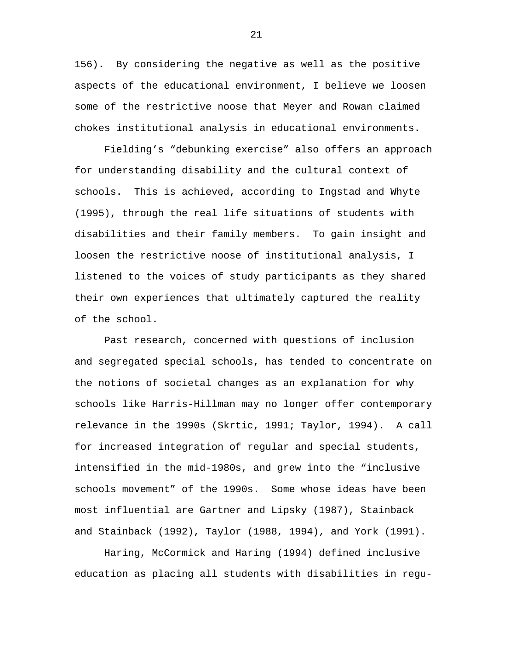156). By considering the negative as well as the positive aspects of the educational environment, I believe we loosen some of the restrictive noose that Meyer and Rowan claimed chokes institutional analysis in educational environments.

Fielding's "debunking exercise" also offers an approach for understanding disability and the cultural context of schools. This is achieved, according to Ingstad and Whyte (1995), through the real life situations of students with disabilities and their family members. To gain insight and loosen the restrictive noose of institutional analysis, I listened to the voices of study participants as they shared their own experiences that ultimately captured the reality of the school.

Past research, concerned with questions of inclusion and segregated special schools, has tended to concentrate on the notions of societal changes as an explanation for why schools like Harris-Hillman may no longer offer contemporary relevance in the 1990s (Skrtic, 1991; Taylor, 1994). A call for increased integration of regular and special students, intensified in the mid-1980s, and grew into the "inclusive schools movement" of the 1990s. Some whose ideas have been most influential are Gartner and Lipsky (1987), Stainback and Stainback (1992), Taylor (1988, 1994), and York (1991).

Haring, McCormick and Haring (1994) defined inclusive education as placing all students with disabilities in regu-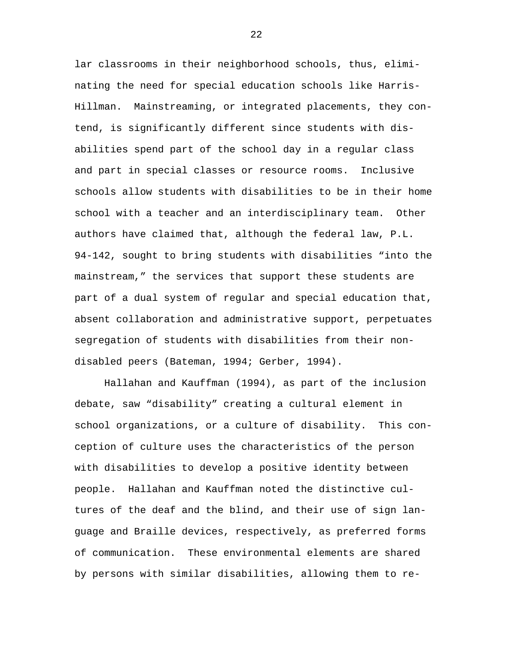lar classrooms in their neighborhood schools, thus, eliminating the need for special education schools like Harris-Hillman. Mainstreaming, or integrated placements, they contend, is significantly different since students with disabilities spend part of the school day in a regular class and part in special classes or resource rooms. Inclusive schools allow students with disabilities to be in their home school with a teacher and an interdisciplinary team. Other authors have claimed that, although the federal law, P.L. 94-142, sought to bring students with disabilities "into the mainstream," the services that support these students are part of a dual system of regular and special education that, absent collaboration and administrative support, perpetuates segregation of students with disabilities from their nondisabled peers (Bateman, 1994; Gerber, 1994).

Hallahan and Kauffman (1994), as part of the inclusion debate, saw "disability" creating a cultural element in school organizations, or a culture of disability. This conception of culture uses the characteristics of the person with disabilities to develop a positive identity between people. Hallahan and Kauffman noted the distinctive cultures of the deaf and the blind, and their use of sign language and Braille devices, respectively, as preferred forms of communication. These environmental elements are shared by persons with similar disabilities, allowing them to re-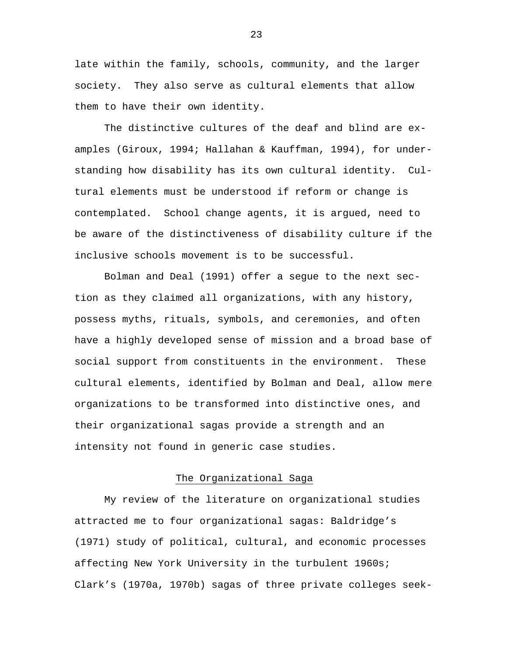late within the family, schools, community, and the larger society. They also serve as cultural elements that allow them to have their own identity.

The distinctive cultures of the deaf and blind are examples (Giroux, 1994; Hallahan & Kauffman, 1994), for understanding how disability has its own cultural identity. Cultural elements must be understood if reform or change is contemplated. School change agents, it is argued, need to be aware of the distinctiveness of disability culture if the inclusive schools movement is to be successful.

Bolman and Deal (1991) offer a segue to the next section as they claimed all organizations, with any history, possess myths, rituals, symbols, and ceremonies, and often have a highly developed sense of mission and a broad base of social support from constituents in the environment. These cultural elements, identified by Bolman and Deal, allow mere organizations to be transformed into distinctive ones, and their organizational sagas provide a strength and an intensity not found in generic case studies.

# The Organizational Saga

My review of the literature on organizational studies attracted me to four organizational sagas: Baldridge's (1971) study of political, cultural, and economic processes affecting New York University in the turbulent 1960s; Clark's (1970a, 1970b) sagas of three private colleges seek-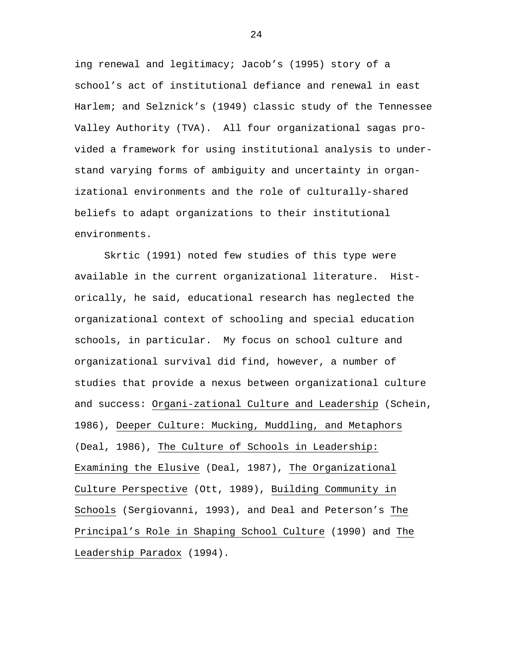ing renewal and legitimacy; Jacob's (1995) story of a school's act of institutional defiance and renewal in east Harlem; and Selznick's (1949) classic study of the Tennessee Valley Authority (TVA). All four organizational sagas provided a framework for using institutional analysis to understand varying forms of ambiguity and uncertainty in organizational environments and the role of culturally-shared beliefs to adapt organizations to their institutional environments.

Skrtic (1991) noted few studies of this type were available in the current organizational literature. Historically, he said, educational research has neglected the organizational context of schooling and special education schools, in particular. My focus on school culture and organizational survival did find, however, a number of studies that provide a nexus between organizational culture and success: Organi-zational Culture and Leadership (Schein, 1986), Deeper Culture: Mucking, Muddling, and Metaphors (Deal, 1986), The Culture of Schools in Leadership: Examining the Elusive (Deal, 1987), The Organizational Culture Perspective (Ott, 1989), Building Community in Schools (Sergiovanni, 1993), and Deal and Peterson's The Principal's Role in Shaping School Culture (1990) and The Leadership Paradox (1994).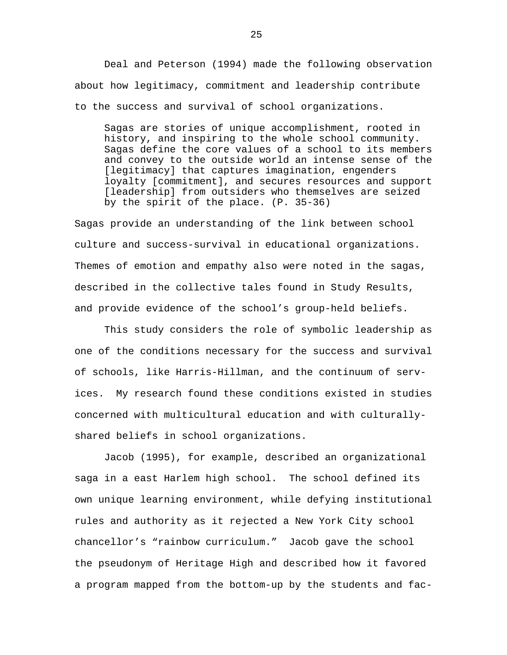Deal and Peterson (1994) made the following observation about how legitimacy, commitment and leadership contribute to the success and survival of school organizations.

Sagas are stories of unique accomplishment, rooted in history, and inspiring to the whole school community. Sagas define the core values of a school to its members and convey to the outside world an intense sense of the [legitimacy] that captures imagination, engenders loyalty [commitment], and secures resources and support [leadership] from outsiders who themselves are seized by the spirit of the place. (P. 35-36)

Sagas provide an understanding of the link between school culture and success-survival in educational organizations. Themes of emotion and empathy also were noted in the sagas, described in the collective tales found in Study Results, and provide evidence of the school's group-held beliefs.

This study considers the role of symbolic leadership as one of the conditions necessary for the success and survival of schools, like Harris-Hillman, and the continuum of services. My research found these conditions existed in studies concerned with multicultural education and with culturallyshared beliefs in school organizations.

Jacob (1995), for example, described an organizational saga in a east Harlem high school. The school defined its own unique learning environment, while defying institutional rules and authority as it rejected a New York City school chancellor's "rainbow curriculum." Jacob gave the school the pseudonym of Heritage High and described how it favored a program mapped from the bottom-up by the students and fac